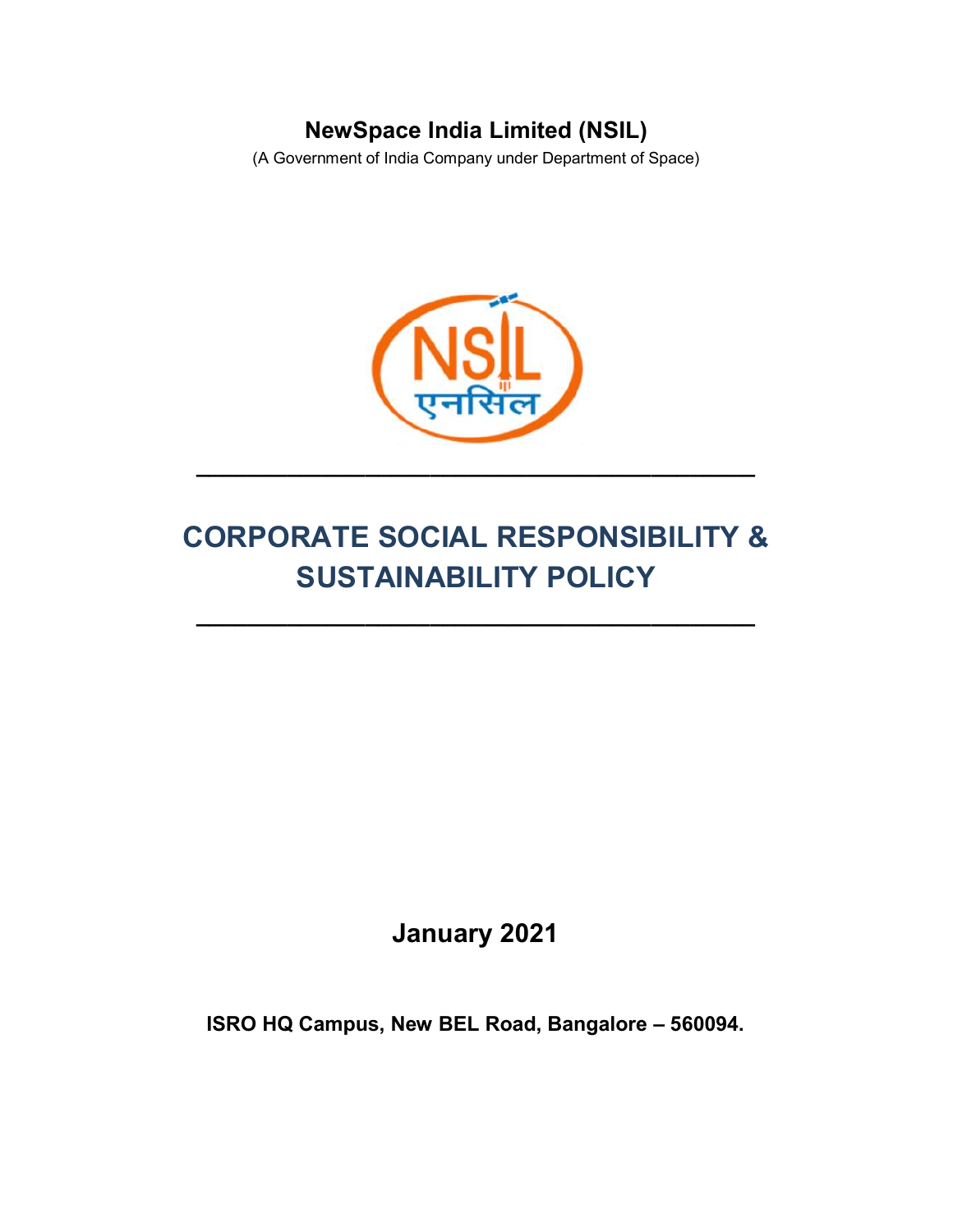## NewSpace India Limited (NSIL)

(A Government of India Company under Department of Space)



# CORPORATE SOCIAL RESPONSIBILITY & SUSTAINABILITY POLICY

 $\_$ 

January 2021

ISRO HQ Campus, New BEL Road, Bangalore – 560094.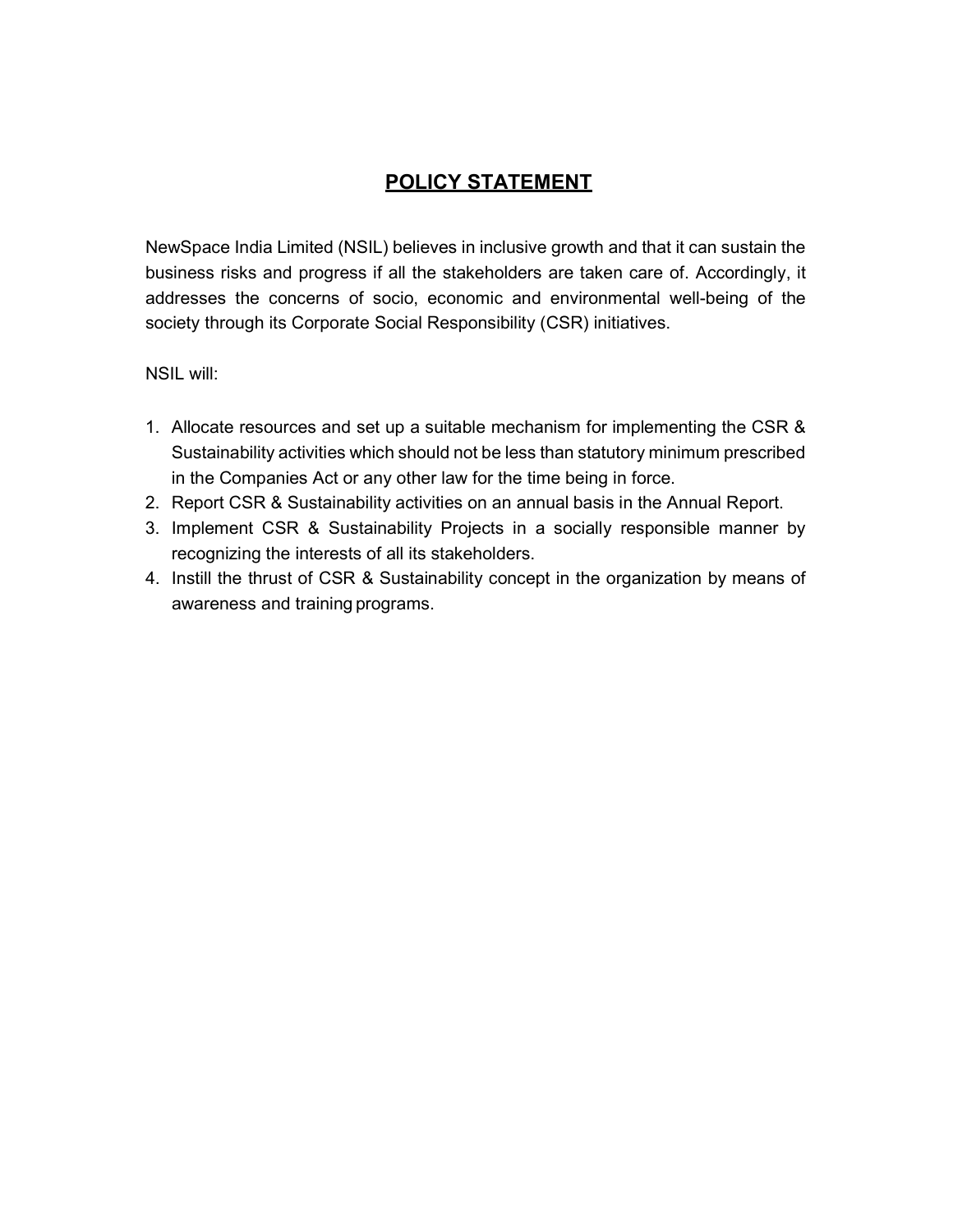### POLICY STATEMENT

NewSpace India Limited (NSIL) believes in inclusive growth and that it can sustain the business risks and progress if all the stakeholders are taken care of. Accordingly, it addresses the concerns of socio, economic and environmental well-being of the society through its Corporate Social Responsibility (CSR) initiatives.

NSIL will:

- 1. Allocate resources and set up a suitable mechanism for implementing the CSR & Sustainability activities which should not be less than statutory minimum prescribed in the Companies Act or any other law for the time being in force.
- 2. Report CSR & Sustainability activities on an annual basis in the Annual Report.
- 3. Implement CSR & Sustainability Projects in a socially responsible manner by recognizing the interests of all its stakeholders.
- 4. Instill the thrust of CSR & Sustainability concept in the organization by means of awareness and training programs.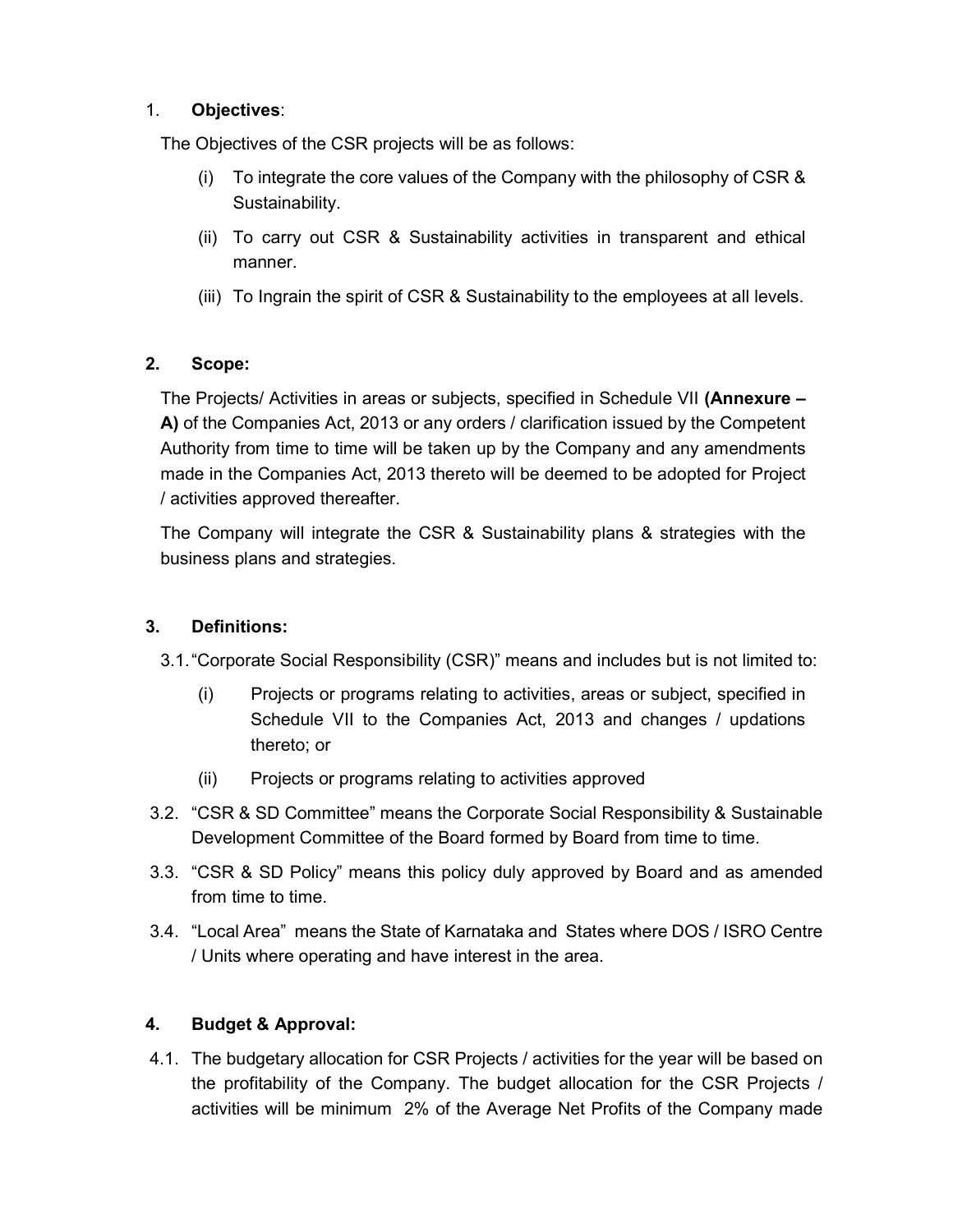#### 1. Objectives:

The Objectives of the CSR projects will be as follows:

- (i) To integrate the core values of the Company with the philosophy of CSR & Sustainability.
- (ii) To carry out CSR & Sustainability activities in transparent and ethical manner.
- (iii) To Ingrain the spirit of CSR & Sustainability to the employees at all levels.

#### 2. Scope:

The Projects/ Activities in areas or subjects, specified in Schedule VII (Annexure – A) of the Companies Act, 2013 or any orders / clarification issued by the Competent Authority from time to time will be taken up by the Company and any amendments made in the Companies Act, 2013 thereto will be deemed to be adopted for Project / activities approved thereafter.

The Company will integrate the CSR & Sustainability plans & strategies with the business plans and strategies.

#### 3. Definitions:

- 3.1. "Corporate Social Responsibility (CSR)" means and includes but is not limited to:
	- (i) Projects or programs relating to activities, areas or subject, specified in Schedule VII to the Companies Act, 2013 and changes / updations thereto; or
	- (ii) Projects or programs relating to activities approved
- 3.2. "CSR & SD Committee" means the Corporate Social Responsibility & Sustainable Development Committee of the Board formed by Board from time to time.
- 3.3. "CSR & SD Policy" means this policy duly approved by Board and as amended from time to time.
- 3.4. "Local Area" means the State of Karnataka and States where DOS / ISRO Centre / Units where operating and have interest in the area.

#### 4. Budget & Approval:

4.1. The budgetary allocation for CSR Projects / activities for the year will be based on the profitability of the Company. The budget allocation for the CSR Projects / activities will be minimum 2% of the Average Net Profits of the Company made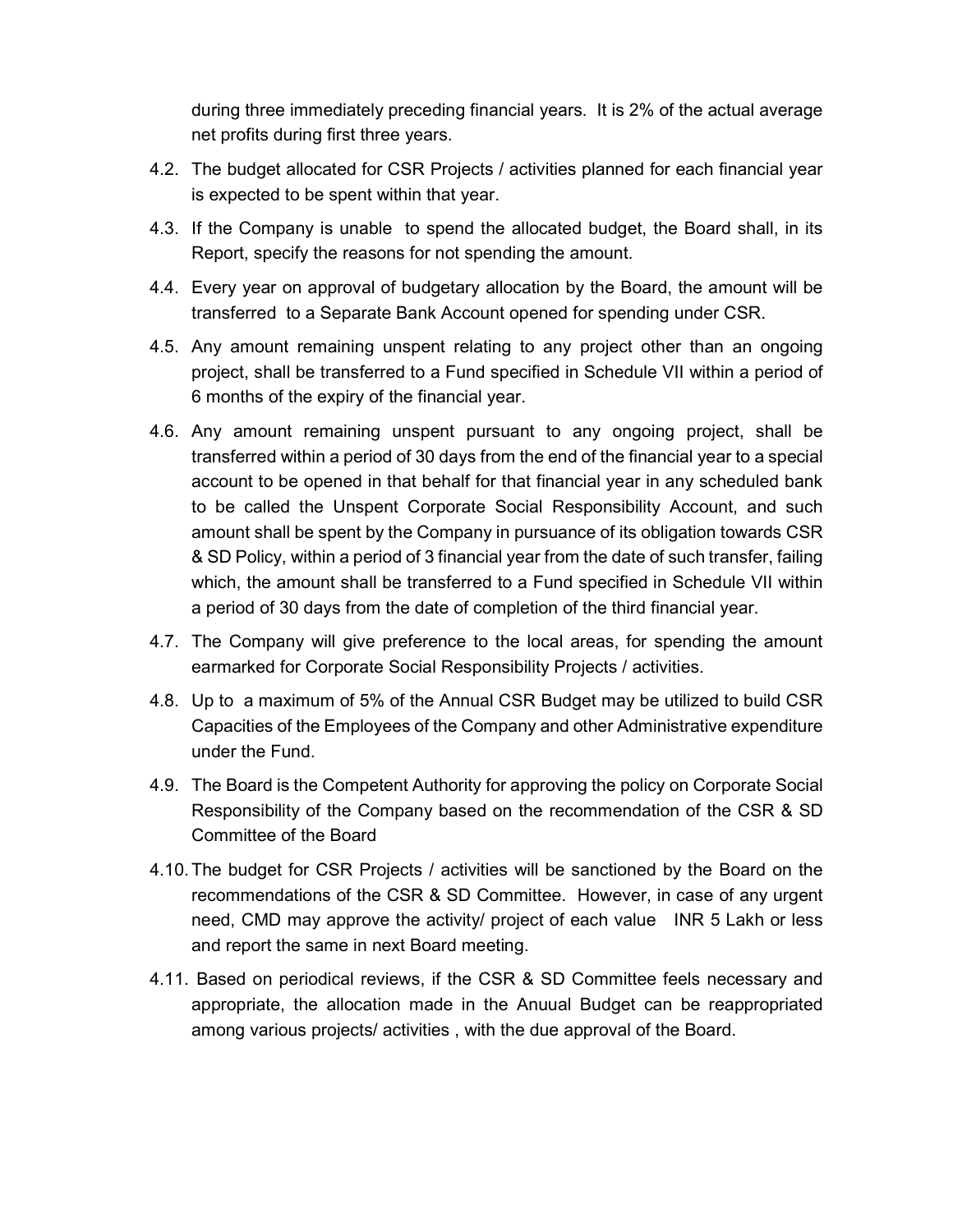during three immediately preceding financial years. It is 2% of the actual average net profits during first three years.

- 4.2. The budget allocated for CSR Projects / activities planned for each financial year is expected to be spent within that year.
- 4.3. If the Company is unable to spend the allocated budget, the Board shall, in its Report, specify the reasons for not spending the amount.
- 4.4. Every year on approval of budgetary allocation by the Board, the amount will be transferred to a Separate Bank Account opened for spending under CSR.
- 4.5. Any amount remaining unspent relating to any project other than an ongoing project, shall be transferred to a Fund specified in Schedule VII within a period of 6 months of the expiry of the financial year.
- 4.6. Any amount remaining unspent pursuant to any ongoing project, shall be transferred within a period of 30 days from the end of the financial year to a special account to be opened in that behalf for that financial year in any scheduled bank to be called the Unspent Corporate Social Responsibility Account, and such amount shall be spent by the Company in pursuance of its obligation towards CSR & SD Policy, within a period of 3 financial year from the date of such transfer, failing which, the amount shall be transferred to a Fund specified in Schedule VII within a period of 30 days from the date of completion of the third financial year.
- 4.7. The Company will give preference to the local areas, for spending the amount earmarked for Corporate Social Responsibility Projects / activities.
- 4.8. Up to a maximum of 5% of the Annual CSR Budget may be utilized to build CSR Capacities of the Employees of the Company and other Administrative expenditure under the Fund.
- 4.9. The Board is the Competent Authority for approving the policy on Corporate Social Responsibility of the Company based on the recommendation of the CSR & SD Committee of the Board
- 4.10. The budget for CSR Projects / activities will be sanctioned by the Board on the recommendations of the CSR & SD Committee. However, in case of any urgent need, CMD may approve the activity/ project of each value INR 5 Lakh or less and report the same in next Board meeting.
- 4.11. Based on periodical reviews, if the CSR & SD Committee feels necessary and appropriate, the allocation made in the Anuual Budget can be reappropriated among various projects/ activities , with the due approval of the Board.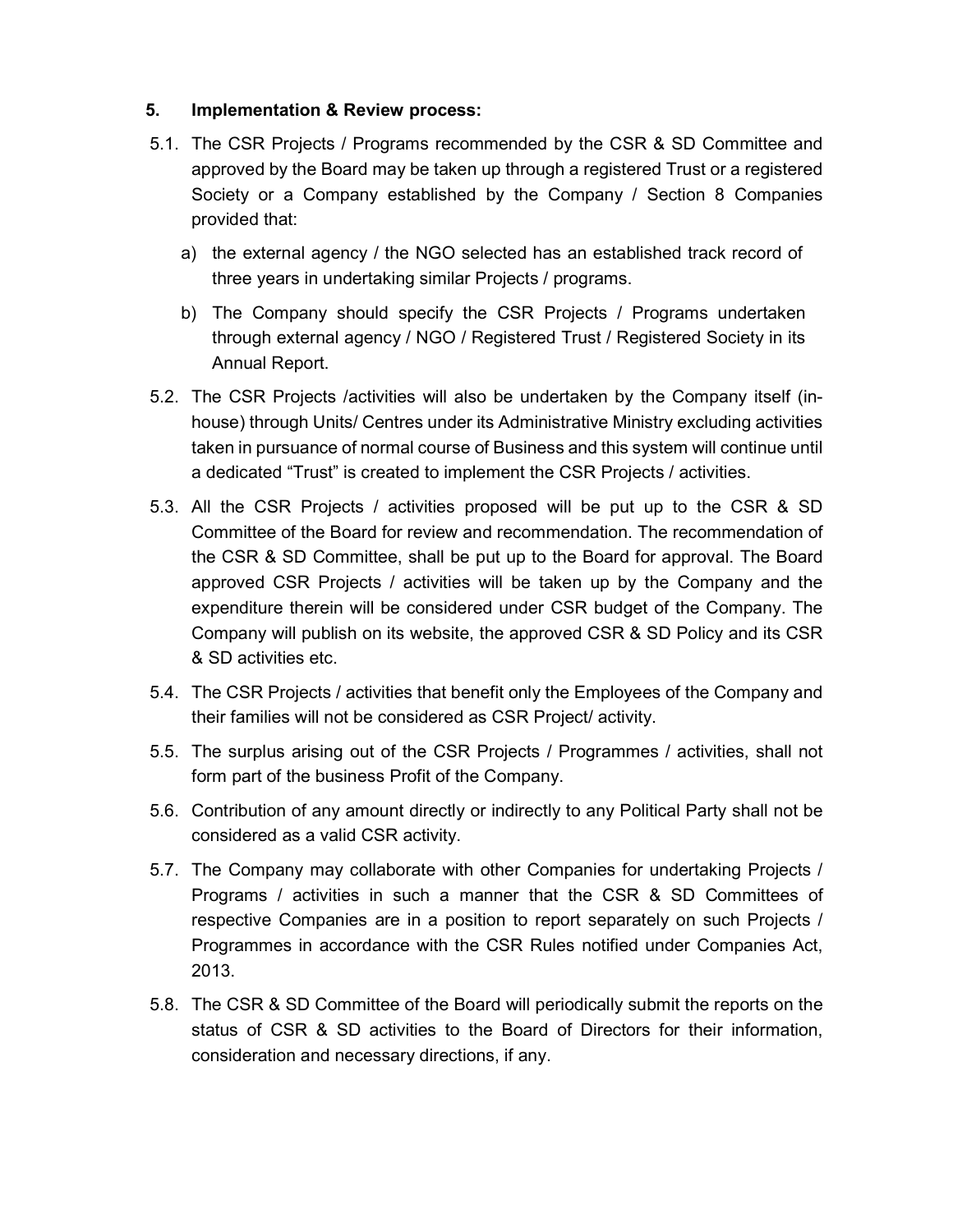#### 5. Implementation & Review process:

- 5.1. The CSR Projects / Programs recommended by the CSR & SD Committee and approved by the Board may be taken up through a registered Trust or a registered Society or a Company established by the Company / Section 8 Companies provided that:
	- a) the external agency / the NGO selected has an established track record of three years in undertaking similar Projects / programs.
	- b) The Company should specify the CSR Projects / Programs undertaken through external agency / NGO / Registered Trust / Registered Society in its Annual Report.
- 5.2. The CSR Projects /activities will also be undertaken by the Company itself (inhouse) through Units/ Centres under its Administrative Ministry excluding activities taken in pursuance of normal course of Business and this system will continue until a dedicated "Trust" is created to implement the CSR Projects / activities.
- 5.3. All the CSR Projects / activities proposed will be put up to the CSR & SD Committee of the Board for review and recommendation. The recommendation of the CSR & SD Committee, shall be put up to the Board for approval. The Board approved CSR Projects / activities will be taken up by the Company and the expenditure therein will be considered under CSR budget of the Company. The Company will publish on its website, the approved CSR & SD Policy and its CSR & SD activities etc.
- 5.4. The CSR Projects / activities that benefit only the Employees of the Company and their families will not be considered as CSR Project/ activity.
- 5.5. The surplus arising out of the CSR Projects / Programmes / activities, shall not form part of the business Profit of the Company.
- 5.6. Contribution of any amount directly or indirectly to any Political Party shall not be considered as a valid CSR activity.
- 5.7. The Company may collaborate with other Companies for undertaking Projects / Programs / activities in such a manner that the CSR & SD Committees of respective Companies are in a position to report separately on such Projects / Programmes in accordance with the CSR Rules notified under Companies Act, 2013.
- 5.8. The CSR & SD Committee of the Board will periodically submit the reports on the status of CSR & SD activities to the Board of Directors for their information, consideration and necessary directions, if any.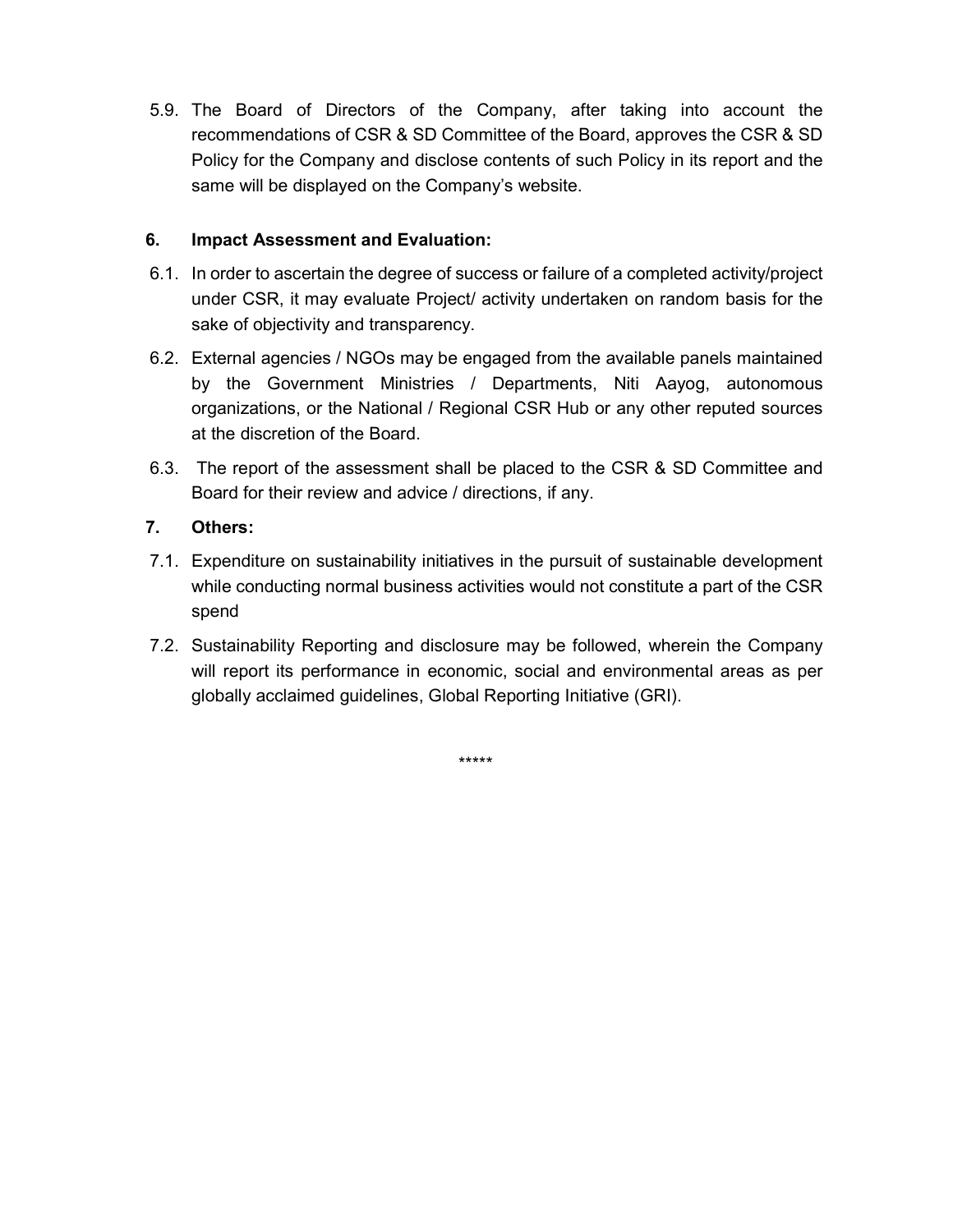5.9. The Board of Directors of the Company, after taking into account the recommendations of CSR & SD Committee of the Board, approves the CSR & SD Policy for the Company and disclose contents of such Policy in its report and the same will be displayed on the Company's website.

#### 6. Impact Assessment and Evaluation:

- 6.1. In order to ascertain the degree of success or failure of a completed activity/project under CSR, it may evaluate Project/ activity undertaken on random basis for the sake of objectivity and transparency.
- 6.2. External agencies / NGOs may be engaged from the available panels maintained by the Government Ministries / Departments, Niti Aayog, autonomous organizations, or the National / Regional CSR Hub or any other reputed sources at the discretion of the Board.
- 6.3. The report of the assessment shall be placed to the CSR & SD Committee and Board for their review and advice / directions, if any.

#### 7. Others:

- 7.1. Expenditure on sustainability initiatives in the pursuit of sustainable development while conducting normal business activities would not constitute a part of the CSR spend
- 7.2. Sustainability Reporting and disclosure may be followed, wherein the Company will report its performance in economic, social and environmental areas as per globally acclaimed guidelines, Global Reporting Initiative (GRI).

\*\*\*\*\*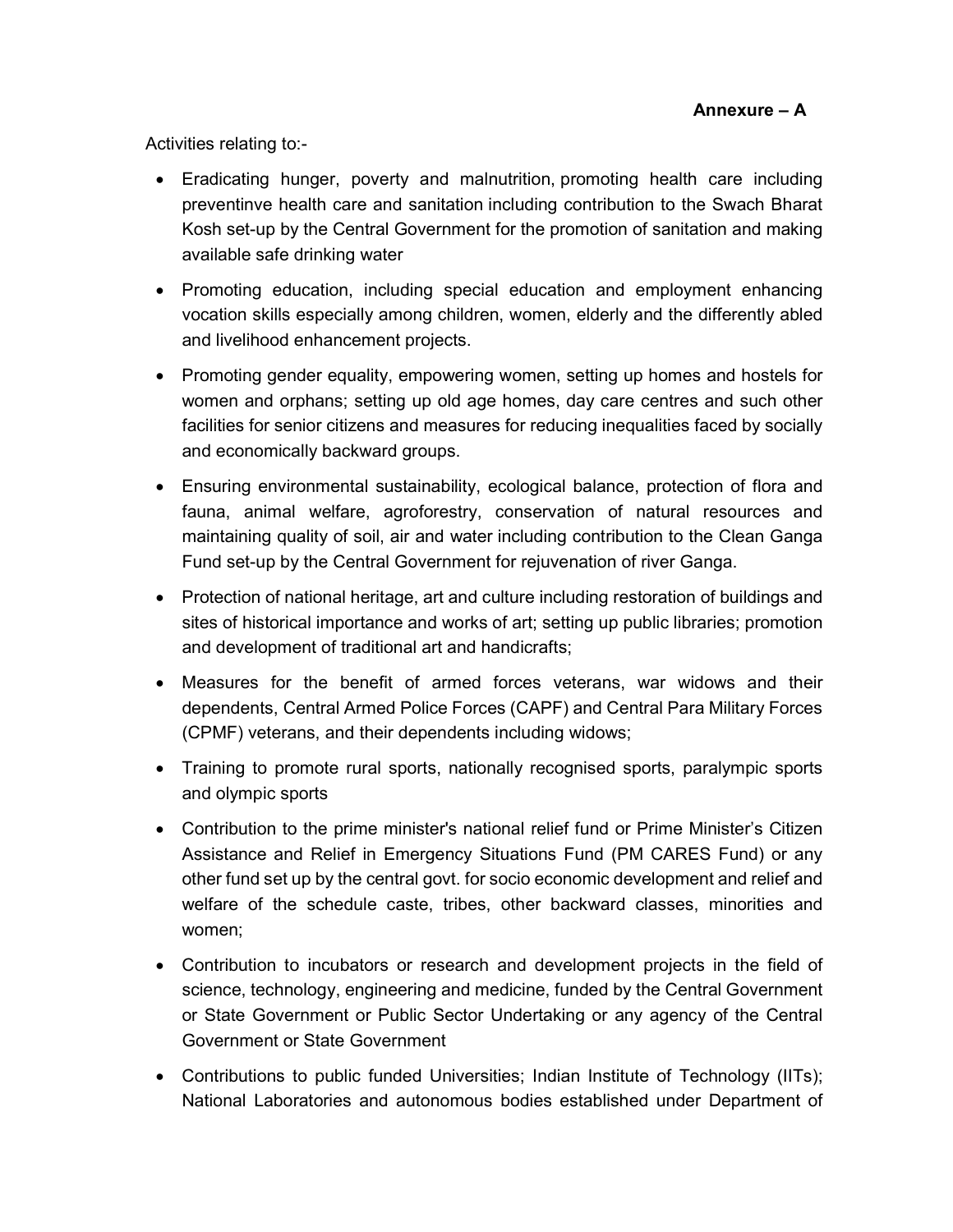Activities relating to:-

- Eradicating hunger, poverty and malnutrition, promoting health care including preventinve health care and sanitation including contribution to the Swach Bharat Kosh set-up by the Central Government for the promotion of sanitation and making available safe drinking water
- Promoting education, including special education and employment enhancing vocation skills especially among children, women, elderly and the differently abled and livelihood enhancement projects.
- Promoting gender equality, empowering women, setting up homes and hostels for women and orphans; setting up old age homes, day care centres and such other facilities for senior citizens and measures for reducing inequalities faced by socially and economically backward groups.
- Ensuring environmental sustainability, ecological balance, protection of flora and fauna, animal welfare, agroforestry, conservation of natural resources and maintaining quality of soil, air and water including contribution to the Clean Ganga Fund set-up by the Central Government for rejuvenation of river Ganga.
- Protection of national heritage, art and culture including restoration of buildings and sites of historical importance and works of art; setting up public libraries; promotion and development of traditional art and handicrafts;
- Measures for the benefit of armed forces veterans, war widows and their dependents, Central Armed Police Forces (CAPF) and Central Para Military Forces (CPMF) veterans, and their dependents including widows;
- Training to promote rural sports, nationally recognised sports, paralympic sports and olympic sports
- Contribution to the prime minister's national relief fund or Prime Minister's Citizen Assistance and Relief in Emergency Situations Fund (PM CARES Fund) or any other fund set up by the central govt. for socio economic development and relief and welfare of the schedule caste, tribes, other backward classes, minorities and women;
- Contribution to incubators or research and development projects in the field of science, technology, engineering and medicine, funded by the Central Government or State Government or Public Sector Undertaking or any agency of the Central Government or State Government
- Contributions to public funded Universities; Indian Institute of Technology (IITs); National Laboratories and autonomous bodies established under Department of